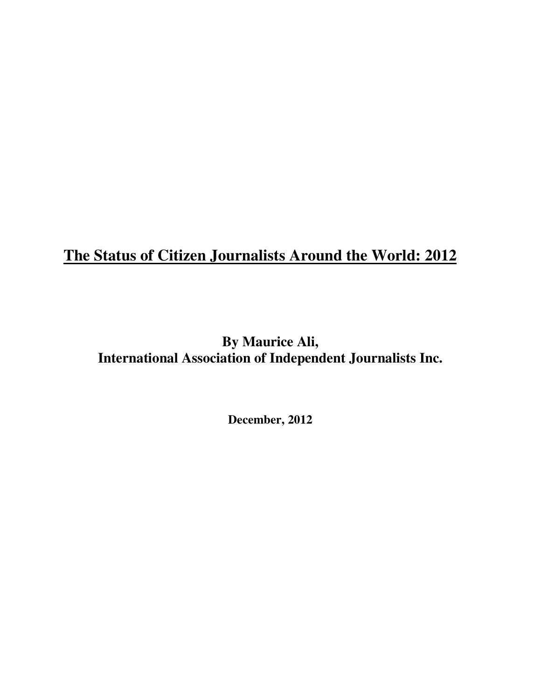# **The Status of Citizen Journalists Around the World: 2012**

# **By Maurice Ali, International Association of Independent Journalists Inc.**

**December, 2012**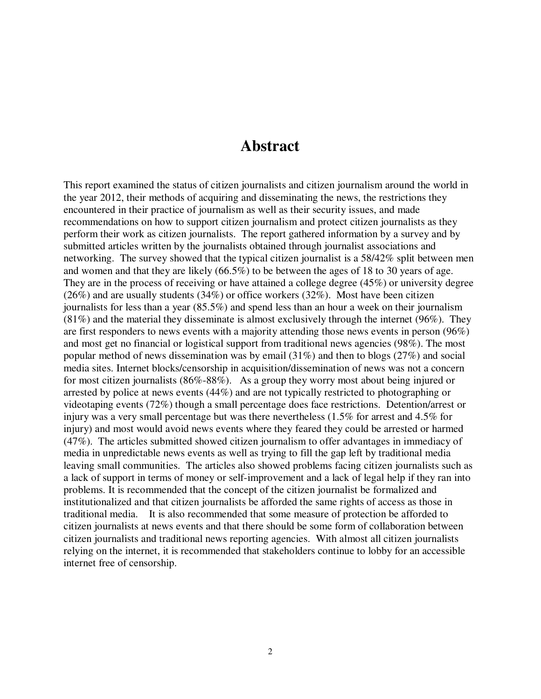## **Abstract**

This report examined the status of citizen journalists and citizen journalism around the world in the year 2012, their methods of acquiring and disseminating the news, the restrictions they encountered in their practice of journalism as well as their security issues, and made recommendations on how to support citizen journalism and protect citizen journalists as they perform their work as citizen journalists. The report gathered information by a survey and by submitted articles written by the journalists obtained through journalist associations and networking. The survey showed that the typical citizen journalist is a 58/42% split between men and women and that they are likely (66.5%) to be between the ages of 18 to 30 years of age. They are in the process of receiving or have attained a college degree (45%) or university degree (26%) and are usually students (34%) or office workers (32%). Most have been citizen journalists for less than a year (85.5%) and spend less than an hour a week on their journalism (81%) and the material they disseminate is almost exclusively through the internet (96%). They are first responders to news events with a majority attending those news events in person (96%) and most get no financial or logistical support from traditional news agencies (98%). The most popular method of news dissemination was by email (31%) and then to blogs (27%) and social media sites. Internet blocks/censorship in acquisition/dissemination of news was not a concern for most citizen journalists (86%-88%). As a group they worry most about being injured or arrested by police at news events (44%) and are not typically restricted to photographing or videotaping events (72%) though a small percentage does face restrictions. Detention/arrest or injury was a very small percentage but was there nevertheless (1.5% for arrest and 4.5% for injury) and most would avoid news events where they feared they could be arrested or harmed (47%). The articles submitted showed citizen journalism to offer advantages in immediacy of media in unpredictable news events as well as trying to fill the gap left by traditional media leaving small communities. The articles also showed problems facing citizen journalists such as a lack of support in terms of money or self-improvement and a lack of legal help if they ran into problems. It is recommended that the concept of the citizen journalist be formalized and institutionalized and that citizen journalists be afforded the same rights of access as those in traditional media. It is also recommended that some measure of protection be afforded to citizen journalists at news events and that there should be some form of collaboration between citizen journalists and traditional news reporting agencies. With almost all citizen journalists relying on the internet, it is recommended that stakeholders continue to lobby for an accessible internet free of censorship.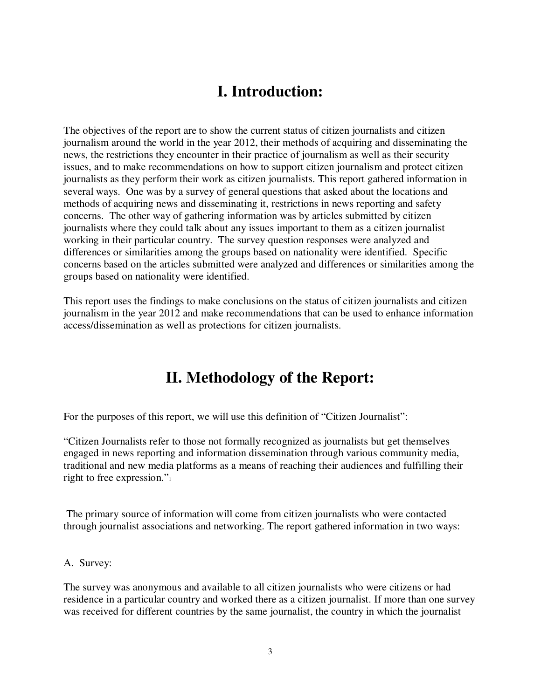# **I. Introduction:**

The objectives of the report are to show the current status of citizen journalists and citizen journalism around the world in the year 2012, their methods of acquiring and disseminating the news, the restrictions they encounter in their practice of journalism as well as their security issues, and to make recommendations on how to support citizen journalism and protect citizen journalists as they perform their work as citizen journalists. This report gathered information in several ways. One was by a survey of general questions that asked about the locations and methods of acquiring news and disseminating it, restrictions in news reporting and safety concerns. The other way of gathering information was by articles submitted by citizen journalists where they could talk about any issues important to them as a citizen journalist working in their particular country. The survey question responses were analyzed and differences or similarities among the groups based on nationality were identified. Specific concerns based on the articles submitted were analyzed and differences or similarities among the groups based on nationality were identified.

This report uses the findings to make conclusions on the status of citizen journalists and citizen journalism in the year 2012 and make recommendations that can be used to enhance information access/dissemination as well as protections for citizen journalists.

# **II. Methodology of the Report:**

For the purposes of this report, we will use this definition of "Citizen Journalist":

"Citizen Journalists refer to those not formally recognized as journalists but get themselves engaged in news reporting and information dissemination through various community media, traditional and new media platforms as a means of reaching their audiences and fulfilling their right to free expression."<sup>1</sup>

The primary source of information will come from citizen journalists who were contacted through journalist associations and networking. The report gathered information in two ways:

A. Survey:

The survey was anonymous and available to all citizen journalists who were citizens or had residence in a particular country and worked there as a citizen journalist. If more than one survey was received for different countries by the same journalist, the country in which the journalist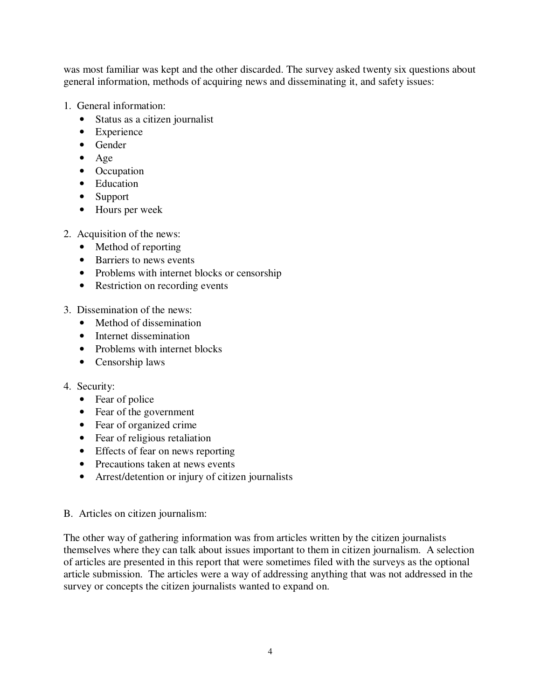was most familiar was kept and the other discarded. The survey asked twenty six questions about general information, methods of acquiring news and disseminating it, and safety issues:

- 1. General information:
	- Status as a citizen journalist
	- Experience
	- Gender
	- Age
	- Occupation
	- Education
	- Support
	- Hours per week
- 2. Acquisition of the news:
	- Method of reporting
	- Barriers to news events
	- Problems with internet blocks or censorship
	- Restriction on recording events
- 3. Dissemination of the news:
	- Method of dissemination
	- Internet dissemination
	- Problems with internet blocks
	- Censorship laws

### 4. Security:

- Fear of police
- Fear of the government
- Fear of organized crime
- Fear of religious retaliation
- Effects of fear on news reporting
- Precautions taken at news events
- Arrest/detention or injury of citizen journalists
- B. Articles on citizen journalism:

The other way of gathering information was from articles written by the citizen journalists themselves where they can talk about issues important to them in citizen journalism. A selection of articles are presented in this report that were sometimes filed with the surveys as the optional article submission. The articles were a way of addressing anything that was not addressed in the survey or concepts the citizen journalists wanted to expand on.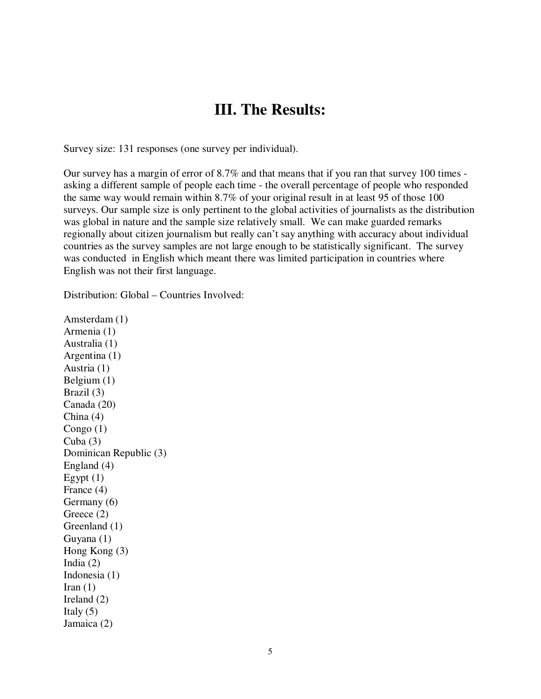## **III. The Results:**

Survey size: 131 responses (one survey per individual).

Our survey has a margin of error of 8.7% and that means that if you ran that survey 100 times asking a different sample of people each time - the overall percentage of people who responded the same way would remain within 8.7% of your original result in at least 95 of those 100 surveys. Our sample size is only pertinent to the global activities of journalists as the distribution was global in nature and the sample size relatively small. We can make guarded remarks regionally about citizen journalism but really can't say anything with accuracy about individual countries as the survey samples are not large enough to be statistically significant. The survey was conducted in English which meant there was limited participation in countries where English was not their first language.

Distribution: Global – Countries Involved:

Amsterdam (1) Armenia (1) Australia (1) Argentina (1) Austria (1) Belgium (1) Brazil (3) Canada (20) China (4) Congo (1) Cuba  $(3)$ Dominican Republic (3) England (4) Egypt  $(1)$ France (4) Germany (6) Greece  $(2)$ Greenland (1) Guyana (1) Hong Kong (3) India (2) Indonesia (1) Iran  $(1)$ Ireland (2) Italy  $(5)$ Jamaica (2)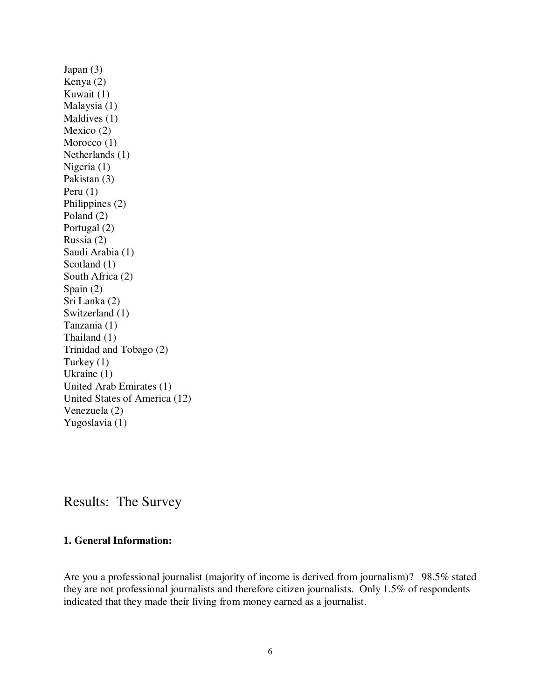Japan (3) Kenya (2) Kuwait (1) Malaysia (1) Maldives (1) Mexico (2) Morocco (1) Netherlands (1) Nigeria (1) Pakistan (3) Peru (1) Philippines (2) Poland (2) Portugal (2) Russia (2) Saudi Arabia (1) Scotland (1) South Africa (2) Spain (2) Sri Lanka (2) Switzerland (1) Tanzania (1) Thailand (1) Trinidad and Tobago (2) Turkey (1) Ukraine (1) United Arab Emirates (1) United States of America (12) Venezuela (2) Yugoslavia (1)

Results: The Survey

### **1. General Information:**

Are you a professional journalist (majority of income is derived from journalism)? 98.5% stated they are not professional journalists and therefore citizen journalists. Only 1.5% of respondents indicated that they made their living from money earned as a journalist.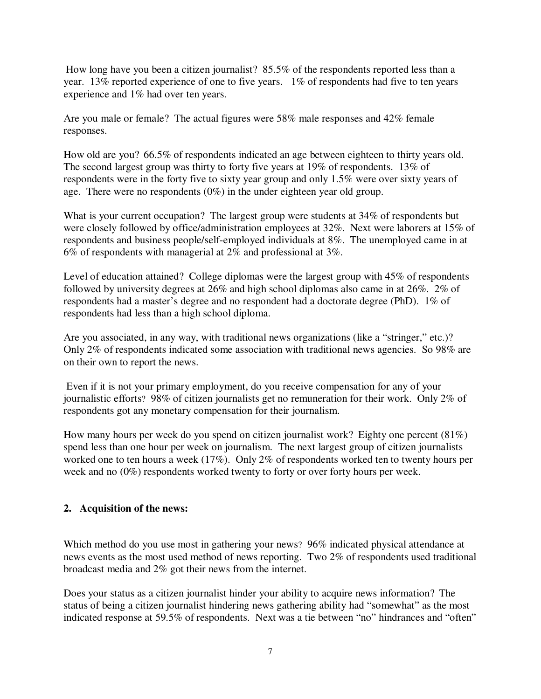How long have you been a citizen journalist? 85.5% of the respondents reported less than a year. 13% reported experience of one to five years. 1% of respondents had five to ten years experience and 1% had over ten years.

Are you male or female? The actual figures were 58% male responses and 42% female responses.

How old are you? 66.5% of respondents indicated an age between eighteen to thirty years old. The second largest group was thirty to forty five years at 19% of respondents. 13% of respondents were in the forty five to sixty year group and only 1.5% were over sixty years of age. There were no respondents (0%) in the under eighteen year old group.

What is your current occupation? The largest group were students at 34% of respondents but were closely followed by office/administration employees at 32%. Next were laborers at 15% of respondents and business people/self-employed individuals at 8%. The unemployed came in at 6% of respondents with managerial at 2% and professional at 3%.

Level of education attained? College diplomas were the largest group with 45% of respondents followed by university degrees at 26% and high school diplomas also came in at 26%. 2% of respondents had a master's degree and no respondent had a doctorate degree (PhD). 1% of respondents had less than a high school diploma.

Are you associated, in any way, with traditional news organizations (like a "stringer," etc.)? Only 2% of respondents indicated some association with traditional news agencies. So 98% are on their own to report the news.

 Even if it is not your primary employment, do you receive compensation for any of your journalistic efforts? 98% of citizen journalists get no remuneration for their work. Only 2% of respondents got any monetary compensation for their journalism.

How many hours per week do you spend on citizen journalist work? Eighty one percent (81%) spend less than one hour per week on journalism. The next largest group of citizen journalists worked one to ten hours a week (17%). Only 2% of respondents worked ten to twenty hours per week and no (0%) respondents worked twenty to forty or over forty hours per week.

### **2. Acquisition of the news:**

Which method do you use most in gathering your news? 96% indicated physical attendance at news events as the most used method of news reporting. Two 2% of respondents used traditional broadcast media and 2% got their news from the internet.

Does your status as a citizen journalist hinder your ability to acquire news information? The status of being a citizen journalist hindering news gathering ability had "somewhat" as the most indicated response at 59.5% of respondents. Next was a tie between "no" hindrances and "often"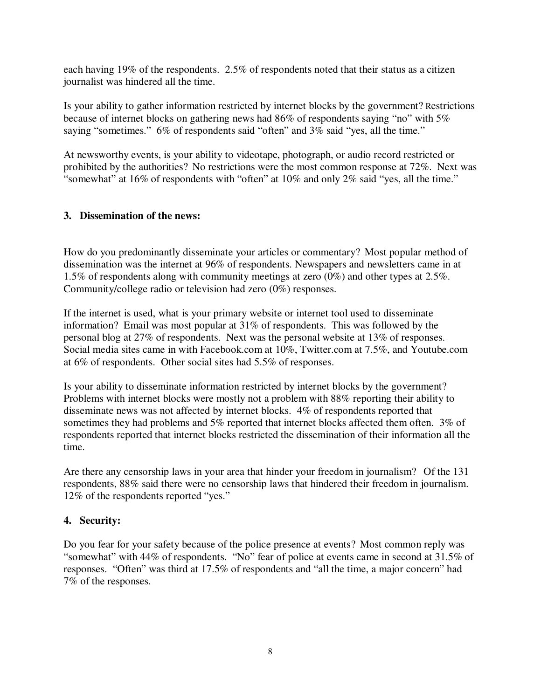each having 19% of the respondents. 2.5% of respondents noted that their status as a citizen journalist was hindered all the time.

Is your ability to gather information restricted by internet blocks by the government? Restrictions because of internet blocks on gathering news had 86% of respondents saying "no" with 5% saying "sometimes." 6% of respondents said "often" and 3% said "yes, all the time."

At newsworthy events, is your ability to videotape, photograph, or audio record restricted or prohibited by the authorities? No restrictions were the most common response at 72%. Next was "somewhat" at 16% of respondents with "often" at 10% and only 2% said "yes, all the time."

### **3. Dissemination of the news:**

How do you predominantly disseminate your articles or commentary? Most popular method of dissemination was the internet at 96% of respondents. Newspapers and newsletters came in at 1.5% of respondents along with community meetings at zero (0%) and other types at 2.5%. Community/college radio or television had zero (0%) responses.

If the internet is used, what is your primary website or internet tool used to disseminate information? Email was most popular at 31% of respondents. This was followed by the personal blog at 27% of respondents. Next was the personal website at 13% of responses. Social media sites came in with Facebook.com at 10%, Twitter.com at 7.5%, and Youtube.com at 6% of respondents. Other social sites had 5.5% of responses.

Is your ability to disseminate information restricted by internet blocks by the government? Problems with internet blocks were mostly not a problem with 88% reporting their ability to disseminate news was not affected by internet blocks. 4% of respondents reported that sometimes they had problems and 5% reported that internet blocks affected them often. 3% of respondents reported that internet blocks restricted the dissemination of their information all the time.

Are there any censorship laws in your area that hinder your freedom in journalism? Of the 131 respondents, 88% said there were no censorship laws that hindered their freedom in journalism. 12% of the respondents reported "yes."

### **4. Security:**

Do you fear for your safety because of the police presence at events? Most common reply was "somewhat" with 44% of respondents. "No" fear of police at events came in second at 31.5% of responses. "Often" was third at 17.5% of respondents and "all the time, a major concern" had 7% of the responses.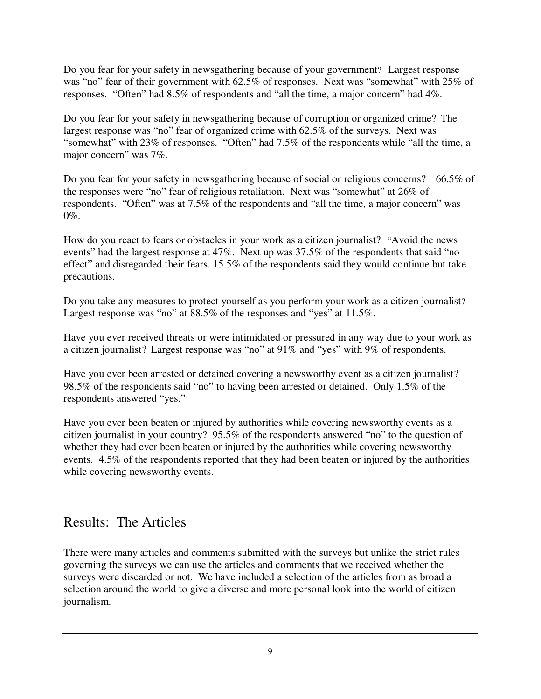Do you fear for your safety in newsgathering because of your government? Largest response was "no" fear of their government with 62.5% of responses. Next was "somewhat" with 25% of responses. "Often" had 8.5% of respondents and "all the time, a major concern" had 4%.

Do you fear for your safety in newsgathering because of corruption or organized crime? The largest response was "no" fear of organized crime with 62.5% of the surveys. Next was "somewhat" with 23% of responses. "Often" had 7.5% of the respondents while "all the time, a major concern" was 7%.

Do you fear for your safety in newsgathering because of social or religious concerns? 66.5% of the responses were "no" fear of religious retaliation. Next was "somewhat" at 26% of respondents. "Often" was at 7.5% of the respondents and "all the time, a major concern" was  $0\%$ .

How do you react to fears or obstacles in your work as a citizen journalist? "Avoid the news events" had the largest response at 47%. Next up was 37.5% of the respondents that said "no effect" and disregarded their fears. 15.5% of the respondents said they would continue but take precautions.

Do you take any measures to protect yourself as you perform your work as a citizen journalist? Largest response was "no" at 88.5% of the responses and "yes" at 11.5%.

Have you ever received threats or were intimidated or pressured in any way due to your work as a citizen journalist? Largest response was "no" at 91% and "yes" with 9% of respondents.

Have you ever been arrested or detained covering a newsworthy event as a citizen journalist? 98.5% of the respondents said "no" to having been arrested or detained. Only 1.5% of the respondents answered "yes."

Have you ever been beaten or injured by authorities while covering newsworthy events as a citizen journalist in your country? 95.5% of the respondents answered "no" to the question of whether they had ever been beaten or injured by the authorities while covering newsworthy events. 4.5% of the respondents reported that they had been beaten or injured by the authorities while covering newsworthy events.

## Results: The Articles

There were many articles and comments submitted with the surveys but unlike the strict rules governing the surveys we can use the articles and comments that we received whether the surveys were discarded or not. We have included a selection of the articles from as broad a selection around the world to give a diverse and more personal look into the world of citizen journalism.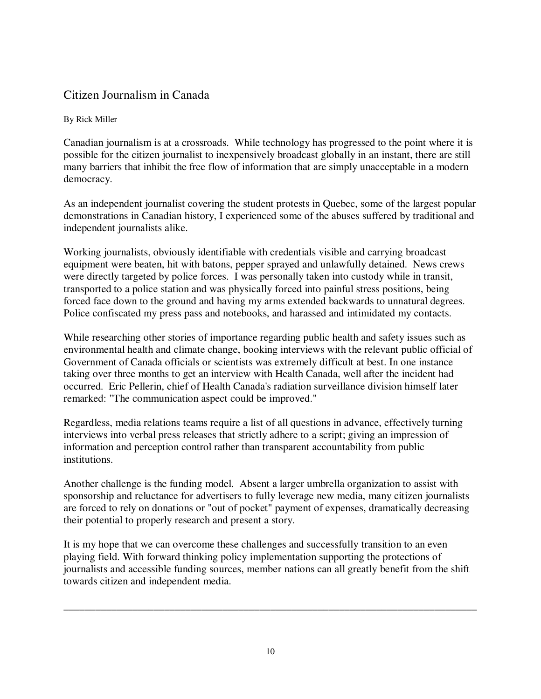## Citizen Journalism in Canada

### By Rick Miller

Canadian journalism is at a crossroads. While technology has progressed to the point where it is possible for the citizen journalist to inexpensively broadcast globally in an instant, there are still many barriers that inhibit the free flow of information that are simply unacceptable in a modern democracy.

As an independent journalist covering the student protests in Quebec, some of the largest popular demonstrations in Canadian history, I experienced some of the abuses suffered by traditional and independent journalists alike.

Working journalists, obviously identifiable with credentials visible and carrying broadcast equipment were beaten, hit with batons, pepper sprayed and unlawfully detained. News crews were directly targeted by police forces. I was personally taken into custody while in transit, transported to a police station and was physically forced into painful stress positions, being forced face down to the ground and having my arms extended backwards to unnatural degrees. Police confiscated my press pass and notebooks, and harassed and intimidated my contacts.

While researching other stories of importance regarding public health and safety issues such as environmental health and climate change, booking interviews with the relevant public official of Government of Canada officials or scientists was extremely difficult at best. In one instance taking over three months to get an interview with Health Canada, well after the incident had occurred. Eric Pellerin, chief of Health Canada's radiation surveillance division himself later remarked: "The communication aspect could be improved."

Regardless, media relations teams require a list of all questions in advance, effectively turning interviews into verbal press releases that strictly adhere to a script; giving an impression of information and perception control rather than transparent accountability from public institutions.

Another challenge is the funding model. Absent a larger umbrella organization to assist with sponsorship and reluctance for advertisers to fully leverage new media, many citizen journalists are forced to rely on donations or "out of pocket" payment of expenses, dramatically decreasing their potential to properly research and present a story.

It is my hope that we can overcome these challenges and successfully transition to an even playing field. With forward thinking policy implementation supporting the protections of journalists and accessible funding sources, member nations can all greatly benefit from the shift towards citizen and independent media.

**\_\_\_\_\_\_\_\_\_\_\_\_\_\_\_\_\_\_\_\_\_\_\_\_\_\_\_\_\_\_\_\_\_\_\_\_\_\_\_\_\_\_\_\_\_\_\_\_\_\_\_\_\_\_\_\_\_\_\_\_\_\_\_\_\_\_\_\_\_\_\_\_\_\_\_\_\_\_**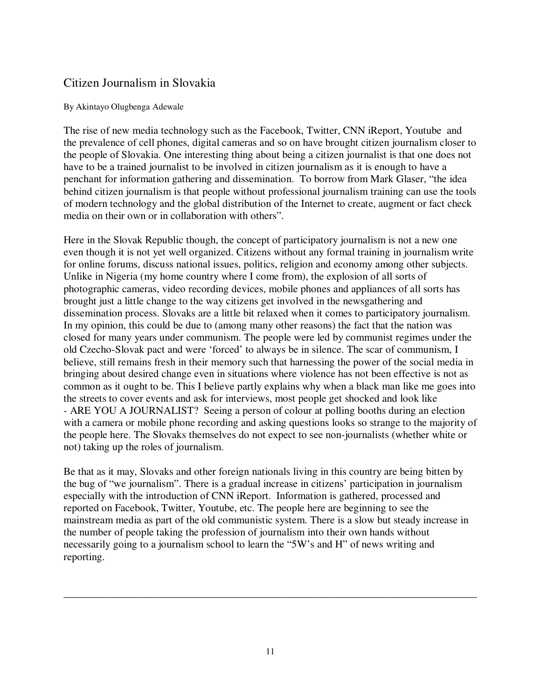## Citizen Journalism in Slovakia

#### By Akintayo Olugbenga Adewale

The rise of new media technology such as the Facebook, Twitter, CNN iReport, Youtube and the prevalence of cell phones, digital cameras and so on have brought citizen journalism closer to the people of Slovakia. One interesting thing about being a citizen journalist is that one does not have to be a trained journalist to be involved in citizen journalism as it is enough to have a penchant for information gathering and dissemination. To borrow from Mark Glaser, "the idea behind citizen journalism is that people without professional journalism training can use the tools of modern technology and the global distribution of the Internet to create, augment or fact check media on their own or in collaboration with others".

Here in the Slovak Republic though, the concept of participatory journalism is not a new one even though it is not yet well organized. Citizens without any formal training in journalism write for online forums, discuss national issues, politics, religion and economy among other subjects. Unlike in Nigeria (my home country where I come from), the explosion of all sorts of photographic cameras, video recording devices, mobile phones and appliances of all sorts has brought just a little change to the way citizens get involved in the newsgathering and dissemination process. Slovaks are a little bit relaxed when it comes to participatory journalism. In my opinion, this could be due to (among many other reasons) the fact that the nation was closed for many years under communism. The people were led by communist regimes under the old Czecho-Slovak pact and were 'forced' to always be in silence. The scar of communism, I believe, still remains fresh in their memory such that harnessing the power of the social media in bringing about desired change even in situations where violence has not been effective is not as common as it ought to be. This I believe partly explains why when a black man like me goes into the streets to cover events and ask for interviews, most people get shocked and look like - ARE YOU A JOURNALIST? Seeing a person of colour at polling booths during an election with a camera or mobile phone recording and asking questions looks so strange to the majority of the people here. The Slovaks themselves do not expect to see non-journalists (whether white or not) taking up the roles of journalism.

Be that as it may, Slovaks and other foreign nationals living in this country are being bitten by the bug of "we journalism". There is a gradual increase in citizens' participation in journalism especially with the introduction of CNN iReport. Information is gathered, processed and reported on Facebook, Twitter, Youtube, etc. The people here are beginning to see the mainstream media as part of the old communistic system. There is a slow but steady increase in the number of people taking the profession of journalism into their own hands without necessarily going to a journalism school to learn the "5W's and H" of news writing and reporting.

\_\_\_\_\_\_\_\_\_\_\_\_\_\_\_\_\_\_\_\_\_\_\_\_\_\_\_\_\_\_\_\_\_\_\_\_\_\_\_\_\_\_\_\_\_\_\_\_\_\_\_\_\_\_\_\_\_\_\_\_\_\_\_\_\_\_\_\_\_\_\_\_\_\_\_\_\_\_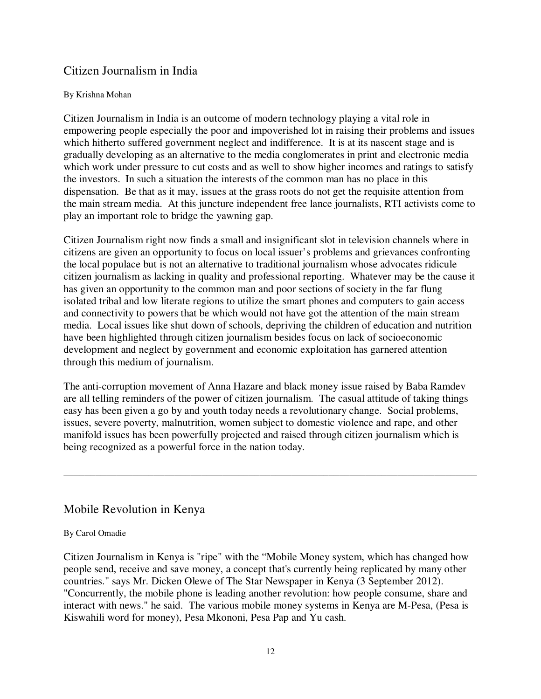## Citizen Journalism in India

#### By Krishna Mohan

Citizen Journalism in India is an outcome of modern technology playing a vital role in empowering people especially the poor and impoverished lot in raising their problems and issues which hitherto suffered government neglect and indifference. It is at its nascent stage and is gradually developing as an alternative to the media conglomerates in print and electronic media which work under pressure to cut costs and as well to show higher incomes and ratings to satisfy the investors. In such a situation the interests of the common man has no place in this dispensation. Be that as it may, issues at the grass roots do not get the requisite attention from the main stream media. At this juncture independent free lance journalists, RTI activists come to play an important role to bridge the yawning gap.

Citizen Journalism right now finds a small and insignificant slot in television channels where in citizens are given an opportunity to focus on local issuer's problems and grievances confronting the local populace but is not an alternative to traditional journalism whose advocates ridicule citizen journalism as lacking in quality and professional reporting. Whatever may be the cause it has given an opportunity to the common man and poor sections of society in the far flung isolated tribal and low literate regions to utilize the smart phones and computers to gain access and connectivity to powers that be which would not have got the attention of the main stream media. Local issues like shut down of schools, depriving the children of education and nutrition have been highlighted through citizen journalism besides focus on lack of socioeconomic development and neglect by government and economic exploitation has garnered attention through this medium of journalism.

The anti-corruption movement of Anna Hazare and black money issue raised by Baba Ramdev are all telling reminders of the power of citizen journalism. The casual attitude of taking things easy has been given a go by and youth today needs a revolutionary change. Social problems, issues, severe poverty, malnutrition, women subject to domestic violence and rape, and other manifold issues has been powerfully projected and raised through citizen journalism which is being recognized as a powerful force in the nation today.

\_\_\_\_\_\_\_\_\_\_\_\_\_\_\_\_\_\_\_\_\_\_\_\_\_\_\_\_\_\_\_\_\_\_\_\_\_\_\_\_\_\_\_\_\_\_\_\_\_\_\_\_\_\_\_\_\_\_\_\_\_\_\_\_\_\_\_\_\_\_\_\_\_\_\_\_\_\_

## Mobile Revolution in Kenya

#### By Carol Omadie

Citizen Journalism in Kenya is "ripe" with the "Mobile Money system, which has changed how people send, receive and save money, a concept that's currently being replicated by many other countries." says Mr. Dicken Olewe of The Star Newspaper in Kenya (3 September 2012). "Concurrently, the mobile phone is leading another revolution: how people consume, share and interact with news." he said. The various mobile money systems in Kenya are M-Pesa, (Pesa is Kiswahili word for money), Pesa Mkononi, Pesa Pap and Yu cash.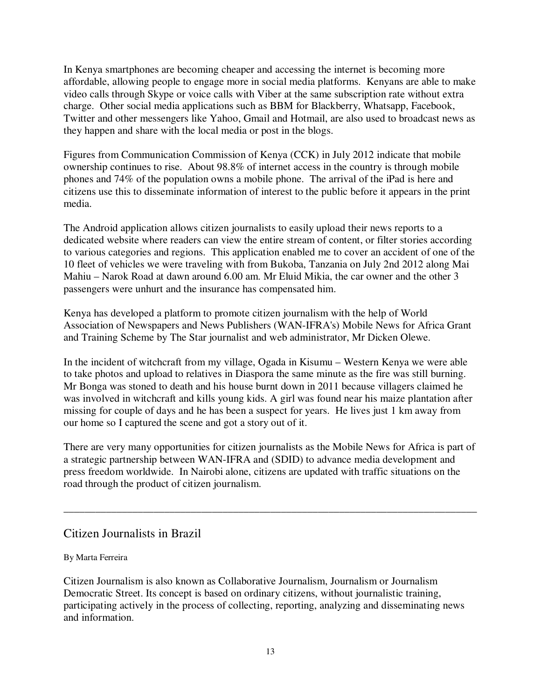In Kenya smartphones are becoming cheaper and accessing the internet is becoming more affordable, allowing people to engage more in social media platforms. Kenyans are able to make video calls through Skype or voice calls with Viber at the same subscription rate without extra charge. Other social media applications such as BBM for Blackberry, Whatsapp, Facebook, Twitter and other messengers like Yahoo, Gmail and Hotmail, are also used to broadcast news as they happen and share with the local media or post in the blogs.

Figures from Communication Commission of Kenya (CCK) in July 2012 indicate that mobile ownership continues to rise. About 98.8% of internet access in the country is through mobile phones and 74% of the population owns a mobile phone. The arrival of the iPad is here and citizens use this to disseminate information of interest to the public before it appears in the print media.

The Android application allows citizen journalists to easily upload their news reports to a dedicated website where readers can view the entire stream of content, or filter stories according to various categories and regions. This application enabled me to cover an accident of one of the 10 fleet of vehicles we were traveling with from Bukoba, Tanzania on July 2nd 2012 along Mai Mahiu – Narok Road at dawn around 6.00 am. Mr Eluid Mikia, the car owner and the other 3 passengers were unhurt and the insurance has compensated him.

Kenya has developed a platform to promote citizen journalism with the help of World Association of Newspapers and News Publishers (WAN-IFRA's) Mobile News for Africa Grant and Training Scheme by The Star journalist and web administrator, Mr Dicken Olewe.

In the incident of witchcraft from my village, Ogada in Kisumu – Western Kenya we were able to take photos and upload to relatives in Diaspora the same minute as the fire was still burning. Mr Bonga was stoned to death and his house burnt down in 2011 because villagers claimed he was involved in witchcraft and kills young kids. A girl was found near his maize plantation after missing for couple of days and he has been a suspect for years. He lives just 1 km away from our home so I captured the scene and got a story out of it.

There are very many opportunities for citizen journalists as the Mobile News for Africa is part of a strategic partnership between WAN-IFRA and (SDID) to advance media development and press freedom worldwide. In Nairobi alone, citizens are updated with traffic situations on the road through the product of citizen journalism.

\_\_\_\_\_\_\_\_\_\_\_\_\_\_\_\_\_\_\_\_\_\_\_\_\_\_\_\_\_\_\_\_\_\_\_\_\_\_\_\_\_\_\_\_\_\_\_\_\_\_\_\_\_\_\_\_\_\_\_\_\_\_\_\_\_\_\_\_\_\_\_\_\_\_\_\_\_\_

## Citizen Journalists in Brazil

### By Marta Ferreira

Citizen Journalism is also known as Collaborative Journalism, Journalism or Journalism Democratic Street. Its concept is based on ordinary citizens, without journalistic training, participating actively in the process of collecting, reporting, analyzing and disseminating news and information.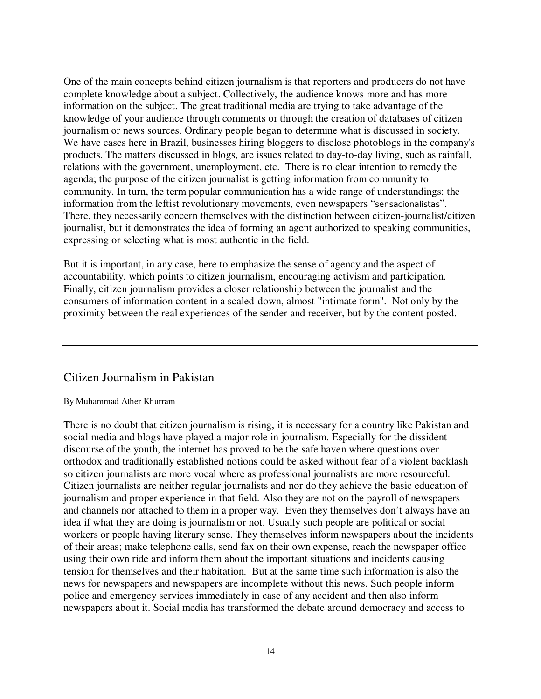One of the main concepts behind citizen journalism is that reporters and producers do not have complete knowledge about a subject. Collectively, the audience knows more and has more information on the subject. The great traditional media are trying to take advantage of the knowledge of your audience through comments or through the creation of databases of citizen journalism or news sources. Ordinary people began to determine what is discussed in society. We have cases here in Brazil, businesses hiring bloggers to disclose photoblogs in the company's products. The matters discussed in blogs, are issues related to day-to-day living, such as rainfall, relations with the government, unemployment, etc. There is no clear intention to remedy the agenda; the purpose of the citizen journalist is getting information from community to community. In turn, the term popular communication has a wide range of understandings: the information from the leftist revolutionary movements, even newspapers "sensacionalistas". There, they necessarily concern themselves with the distinction between citizen-journalist/citizen journalist, but it demonstrates the idea of forming an agent authorized to speaking communities, expressing or selecting what is most authentic in the field.

But it is important, in any case, here to emphasize the sense of agency and the aspect of accountability, which points to citizen journalism, encouraging activism and participation. Finally, citizen journalism provides a closer relationship between the journalist and the consumers of information content in a scaled-down, almost "intimate form". Not only by the proximity between the real experiences of the sender and receiver, but by the content posted.

### Citizen Journalism in Pakistan

#### By Muhammad Ather Khurram

There is no doubt that citizen journalism is rising, it is necessary for a country like Pakistan and social media and blogs have played a major role in journalism. Especially for the dissident discourse of the youth, the internet has proved to be the safe haven where questions over orthodox and traditionally established notions could be asked without fear of a violent backlash so citizen journalists are more vocal where as professional journalists are more resourceful. Citizen journalists are neither regular journalists and nor do they achieve the basic education of journalism and proper experience in that field. Also they are not on the payroll of newspapers and channels nor attached to them in a proper way. Even they themselves don't always have an idea if what they are doing is journalism or not. Usually such people are political or social workers or people having literary sense. They themselves inform newspapers about the incidents of their areas; make telephone calls, send fax on their own expense, reach the newspaper office using their own ride and inform them about the important situations and incidents causing tension for themselves and their habitation. But at the same time such information is also the news for newspapers and newspapers are incomplete without this news. Such people inform police and emergency services immediately in case of any accident and then also inform newspapers about it. Social media has transformed the debate around democracy and access to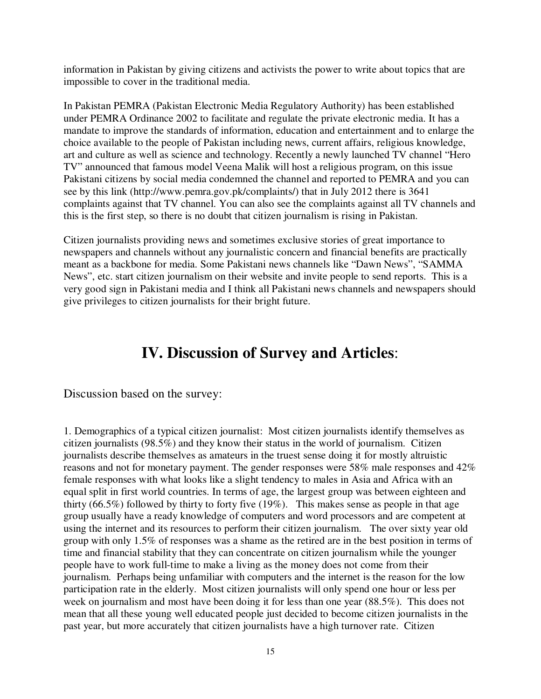information in Pakistan by giving citizens and activists the power to write about topics that are impossible to cover in the traditional media.

In Pakistan PEMRA (Pakistan Electronic Media Regulatory Authority) has been established under PEMRA Ordinance 2002 to facilitate and regulate the private electronic media. It has a mandate to improve the standards of information, education and entertainment and to enlarge the choice available to the people of Pakistan including news, current affairs, religious knowledge, art and culture as well as science and technology. Recently a newly launched TV channel "Hero TV" announced that famous model Veena Malik will host a religious program, on this issue Pakistani citizens by social media condemned the channel and reported to PEMRA and you can see by this link (http://www.pemra.gov.pk/complaints/) that in July 2012 there is 3641 complaints against that TV channel. You can also see the complaints against all TV channels and this is the first step, so there is no doubt that citizen journalism is rising in Pakistan.

Citizen journalists providing news and sometimes exclusive stories of great importance to newspapers and channels without any journalistic concern and financial benefits are practically meant as a backbone for media. Some Pakistani news channels like "Dawn News", "SAMMA News", etc. start citizen journalism on their website and invite people to send reports. This is a very good sign in Pakistani media and I think all Pakistani news channels and newspapers should give privileges to citizen journalists for their bright future.

# **IV. Discussion of Survey and Articles**:

Discussion based on the survey:

1. Demographics of a typical citizen journalist: Most citizen journalists identify themselves as citizen journalists (98.5%) and they know their status in the world of journalism. Citizen journalists describe themselves as amateurs in the truest sense doing it for mostly altruistic reasons and not for monetary payment. The gender responses were 58% male responses and 42% female responses with what looks like a slight tendency to males in Asia and Africa with an equal split in first world countries. In terms of age, the largest group was between eighteen and thirty (66.5%) followed by thirty to forty five (19%). This makes sense as people in that age group usually have a ready knowledge of computers and word processors and are competent at using the internet and its resources to perform their citizen journalism. The over sixty year old group with only 1.5% of responses was a shame as the retired are in the best position in terms of time and financial stability that they can concentrate on citizen journalism while the younger people have to work full-time to make a living as the money does not come from their journalism. Perhaps being unfamiliar with computers and the internet is the reason for the low participation rate in the elderly. Most citizen journalists will only spend one hour or less per week on journalism and most have been doing it for less than one year (88.5%). This does not mean that all these young well educated people just decided to become citizen journalists in the past year, but more accurately that citizen journalists have a high turnover rate. Citizen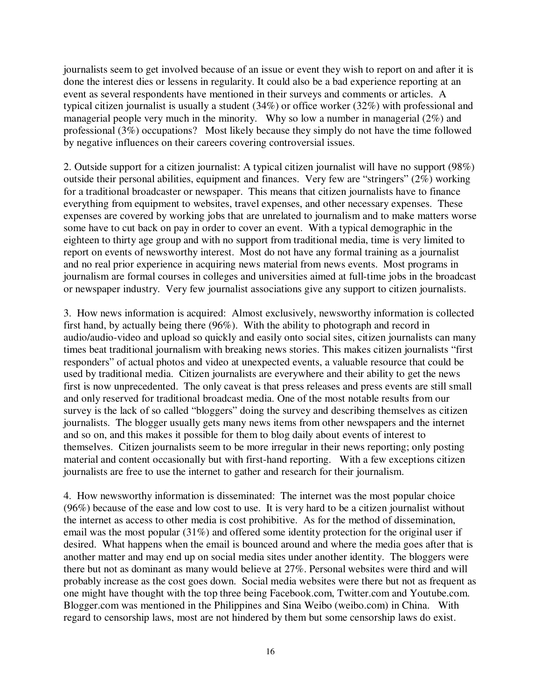journalists seem to get involved because of an issue or event they wish to report on and after it is done the interest dies or lessens in regularity. It could also be a bad experience reporting at an event as several respondents have mentioned in their surveys and comments or articles. A typical citizen journalist is usually a student (34%) or office worker (32%) with professional and managerial people very much in the minority. Why so low a number in managerial (2%) and professional (3%) occupations? Most likely because they simply do not have the time followed by negative influences on their careers covering controversial issues.

2. Outside support for a citizen journalist: A typical citizen journalist will have no support (98%) outside their personal abilities, equipment and finances. Very few are "stringers" (2%) working for a traditional broadcaster or newspaper. This means that citizen journalists have to finance everything from equipment to websites, travel expenses, and other necessary expenses. These expenses are covered by working jobs that are unrelated to journalism and to make matters worse some have to cut back on pay in order to cover an event. With a typical demographic in the eighteen to thirty age group and with no support from traditional media, time is very limited to report on events of newsworthy interest. Most do not have any formal training as a journalist and no real prior experience in acquiring news material from news events. Most programs in journalism are formal courses in colleges and universities aimed at full-time jobs in the broadcast or newspaper industry. Very few journalist associations give any support to citizen journalists.

3. How news information is acquired: Almost exclusively, newsworthy information is collected first hand, by actually being there (96%). With the ability to photograph and record in audio/audio-video and upload so quickly and easily onto social sites, citizen journalists can many times beat traditional journalism with breaking news stories. This makes citizen journalists "first responders" of actual photos and video at unexpected events, a valuable resource that could be used by traditional media. Citizen journalists are everywhere and their ability to get the news first is now unprecedented. The only caveat is that press releases and press events are still small and only reserved for traditional broadcast media. One of the most notable results from our survey is the lack of so called "bloggers" doing the survey and describing themselves as citizen journalists. The blogger usually gets many news items from other newspapers and the internet and so on, and this makes it possible for them to blog daily about events of interest to themselves. Citizen journalists seem to be more irregular in their news reporting; only posting material and content occasionally but with first-hand reporting. With a few exceptions citizen journalists are free to use the internet to gather and research for their journalism.

4. How newsworthy information is disseminated: The internet was the most popular choice (96%) because of the ease and low cost to use. It is very hard to be a citizen journalist without the internet as access to other media is cost prohibitive. As for the method of dissemination, email was the most popular (31%) and offered some identity protection for the original user if desired. What happens when the email is bounced around and where the media goes after that is another matter and may end up on social media sites under another identity. The bloggers were there but not as dominant as many would believe at 27%. Personal websites were third and will probably increase as the cost goes down. Social media websites were there but not as frequent as one might have thought with the top three being Facebook.com, Twitter.com and Youtube.com. Blogger.com was mentioned in the Philippines and Sina Weibo (weibo.com) in China. With regard to censorship laws, most are not hindered by them but some censorship laws do exist.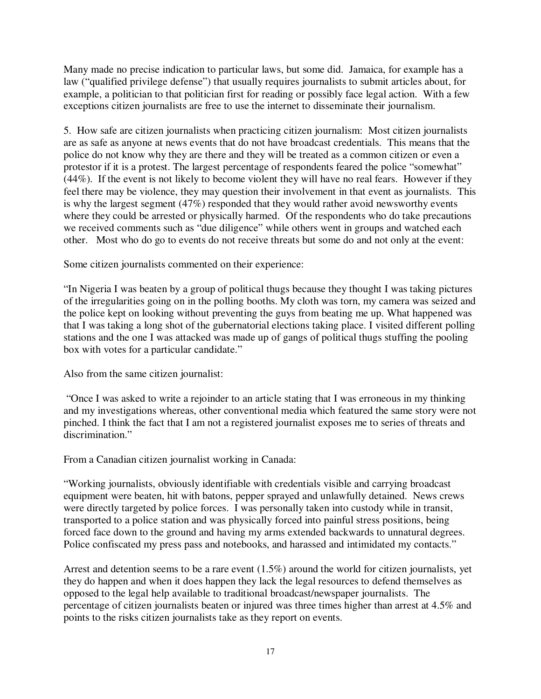Many made no precise indication to particular laws, but some did. Jamaica, for example has a law ("qualified privilege defense") that usually requires journalists to submit articles about, for example, a politician to that politician first for reading or possibly face legal action. With a few exceptions citizen journalists are free to use the internet to disseminate their journalism.

5. How safe are citizen journalists when practicing citizen journalism: Most citizen journalists are as safe as anyone at news events that do not have broadcast credentials. This means that the police do not know why they are there and they will be treated as a common citizen or even a protestor if it is a protest. The largest percentage of respondents feared the police "somewhat" (44%). If the event is not likely to become violent they will have no real fears. However if they feel there may be violence, they may question their involvement in that event as journalists. This is why the largest segment (47%) responded that they would rather avoid newsworthy events where they could be arrested or physically harmed. Of the respondents who do take precautions we received comments such as "due diligence" while others went in groups and watched each other. Most who do go to events do not receive threats but some do and not only at the event:

Some citizen journalists commented on their experience:

"In Nigeria I was beaten by a group of political thugs because they thought I was taking pictures of the irregularities going on in the polling booths. My cloth was torn, my camera was seized and the police kept on looking without preventing the guys from beating me up. What happened was that I was taking a long shot of the gubernatorial elections taking place. I visited different polling stations and the one I was attacked was made up of gangs of political thugs stuffing the pooling box with votes for a particular candidate."

Also from the same citizen journalist:

 "Once I was asked to write a rejoinder to an article stating that I was erroneous in my thinking and my investigations whereas, other conventional media which featured the same story were not pinched. I think the fact that I am not a registered journalist exposes me to series of threats and discrimination."

From a Canadian citizen journalist working in Canada:

"Working journalists, obviously identifiable with credentials visible and carrying broadcast equipment were beaten, hit with batons, pepper sprayed and unlawfully detained. News crews were directly targeted by police forces. I was personally taken into custody while in transit, transported to a police station and was physically forced into painful stress positions, being forced face down to the ground and having my arms extended backwards to unnatural degrees. Police confiscated my press pass and notebooks, and harassed and intimidated my contacts."

Arrest and detention seems to be a rare event (1.5%) around the world for citizen journalists, yet they do happen and when it does happen they lack the legal resources to defend themselves as opposed to the legal help available to traditional broadcast/newspaper journalists. The percentage of citizen journalists beaten or injured was three times higher than arrest at 4.5% and points to the risks citizen journalists take as they report on events.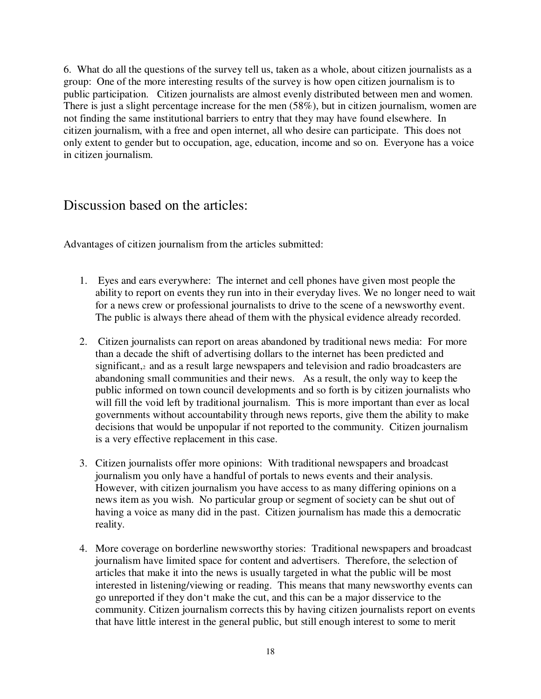6. What do all the questions of the survey tell us, taken as a whole, about citizen journalists as a group: One of the more interesting results of the survey is how open citizen journalism is to public participation. Citizen journalists are almost evenly distributed between men and women. There is just a slight percentage increase for the men (58%), but in citizen journalism, women are not finding the same institutional barriers to entry that they may have found elsewhere. In citizen journalism, with a free and open internet, all who desire can participate. This does not only extent to gender but to occupation, age, education, income and so on. Everyone has a voice in citizen journalism.

## Discussion based on the articles:

Advantages of citizen journalism from the articles submitted:

- 1. Eyes and ears everywhere: The internet and cell phones have given most people the ability to report on events they run into in their everyday lives. We no longer need to wait for a news crew or professional journalists to drive to the scene of a newsworthy event. The public is always there ahead of them with the physical evidence already recorded.
- 2. Citizen journalists can report on areas abandoned by traditional news media: For more than a decade the shift of advertising dollars to the internet has been predicted and significant, and as a result large newspapers and television and radio broadcasters are abandoning small communities and their news. As a result, the only way to keep the public informed on town council developments and so forth is by citizen journalists who will fill the void left by traditional journalism. This is more important than ever as local governments without accountability through news reports, give them the ability to make decisions that would be unpopular if not reported to the community. Citizen journalism is a very effective replacement in this case.
- 3. Citizen journalists offer more opinions: With traditional newspapers and broadcast journalism you only have a handful of portals to news events and their analysis. However, with citizen journalism you have access to as many differing opinions on a news item as you wish. No particular group or segment of society can be shut out of having a voice as many did in the past. Citizen journalism has made this a democratic reality.
- 4. More coverage on borderline newsworthy stories: Traditional newspapers and broadcast journalism have limited space for content and advertisers. Therefore, the selection of articles that make it into the news is usually targeted in what the public will be most interested in listening/viewing or reading. This means that many newsworthy events can go unreported if they don't make the cut, and this can be a major disservice to the community. Citizen journalism corrects this by having citizen journalists report on events that have little interest in the general public, but still enough interest to some to merit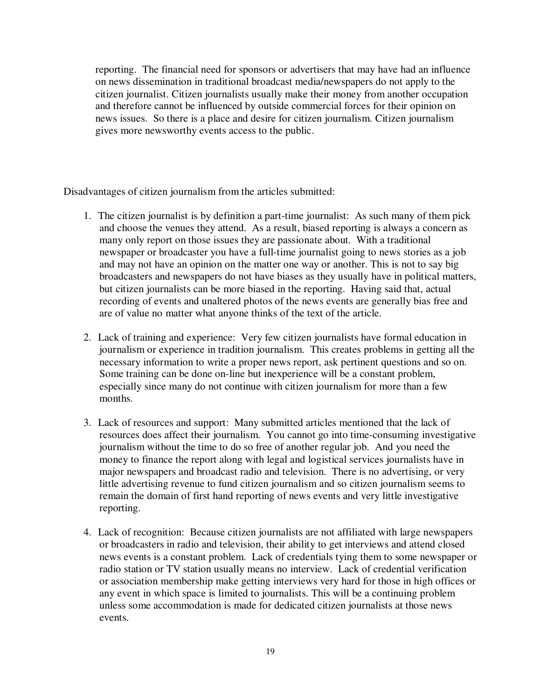reporting. The financial need for sponsors or advertisers that may have had an influence on news dissemination in traditional broadcast media/newspapers do not apply to the citizen journalist. Citizen journalists usually make their money from another occupation and therefore cannot be influenced by outside commercial forces for their opinion on news issues. So there is a place and desire for citizen journalism. Citizen journalism gives more newsworthy events access to the public.

Disadvantages of citizen journalism from the articles submitted:

- 1. The citizen journalist is by definition a part-time journalist: As such many of them pick and choose the venues they attend. As a result, biased reporting is always a concern as many only report on those issues they are passionate about. With a traditional newspaper or broadcaster you have a full-time journalist going to news stories as a job and may not have an opinion on the matter one way or another. This is not to say big broadcasters and newspapers do not have biases as they usually have in political matters, but citizen journalists can be more biased in the reporting. Having said that, actual recording of events and unaltered photos of the news events are generally bias free and are of value no matter what anyone thinks of the text of the article.
- 2. Lack of training and experience: Very few citizen journalists have formal education in journalism or experience in tradition journalism. This creates problems in getting all the necessary information to write a proper news report, ask pertinent questions and so on. Some training can be done on-line but inexperience will be a constant problem, especially since many do not continue with citizen journalism for more than a few months.
- 3. Lack of resources and support: Many submitted articles mentioned that the lack of resources does affect their journalism. You cannot go into time-consuming investigative journalism without the time to do so free of another regular job. And you need the money to finance the report along with legal and logistical services journalists have in major newspapers and broadcast radio and television. There is no advertising, or very little advertising revenue to fund citizen journalism and so citizen journalism seems to remain the domain of first hand reporting of news events and very little investigative reporting.
- 4. Lack of recognition: Because citizen journalists are not affiliated with large newspapers or broadcasters in radio and television, their ability to get interviews and attend closed news events is a constant problem. Lack of credentials tying them to some newspaper or radio station or TV station usually means no interview. Lack of credential verification or association membership make getting interviews very hard for those in high offices or any event in which space is limited to journalists. This will be a continuing problem unless some accommodation is made for dedicated citizen journalists at those news events.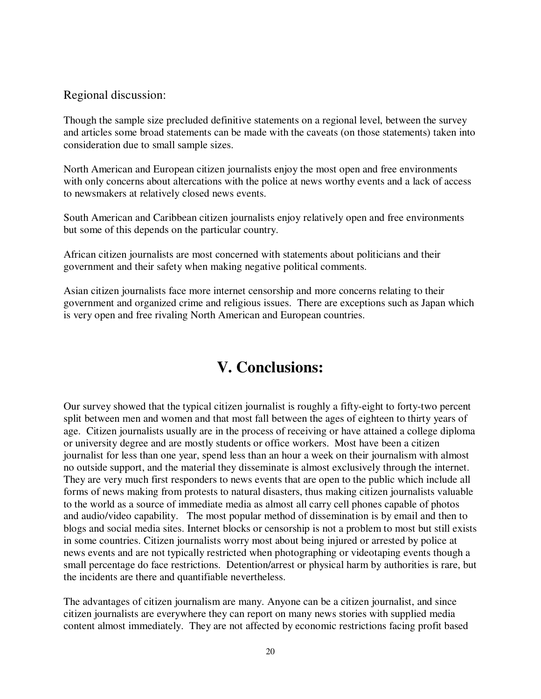### Regional discussion:

Though the sample size precluded definitive statements on a regional level, between the survey and articles some broad statements can be made with the caveats (on those statements) taken into consideration due to small sample sizes.

North American and European citizen journalists enjoy the most open and free environments with only concerns about altercations with the police at news worthy events and a lack of access to newsmakers at relatively closed news events.

South American and Caribbean citizen journalists enjoy relatively open and free environments but some of this depends on the particular country.

African citizen journalists are most concerned with statements about politicians and their government and their safety when making negative political comments.

Asian citizen journalists face more internet censorship and more concerns relating to their government and organized crime and religious issues. There are exceptions such as Japan which is very open and free rivaling North American and European countries.

# **V. Conclusions:**

Our survey showed that the typical citizen journalist is roughly a fifty-eight to forty-two percent split between men and women and that most fall between the ages of eighteen to thirty years of age. Citizen journalists usually are in the process of receiving or have attained a college diploma or university degree and are mostly students or office workers. Most have been a citizen journalist for less than one year, spend less than an hour a week on their journalism with almost no outside support, and the material they disseminate is almost exclusively through the internet. They are very much first responders to news events that are open to the public which include all forms of news making from protests to natural disasters, thus making citizen journalists valuable to the world as a source of immediate media as almost all carry cell phones capable of photos and audio/video capability. The most popular method of dissemination is by email and then to blogs and social media sites. Internet blocks or censorship is not a problem to most but still exists in some countries. Citizen journalists worry most about being injured or arrested by police at news events and are not typically restricted when photographing or videotaping events though a small percentage do face restrictions. Detention/arrest or physical harm by authorities is rare, but the incidents are there and quantifiable nevertheless.

The advantages of citizen journalism are many. Anyone can be a citizen journalist, and since citizen journalists are everywhere they can report on many news stories with supplied media content almost immediately. They are not affected by economic restrictions facing profit based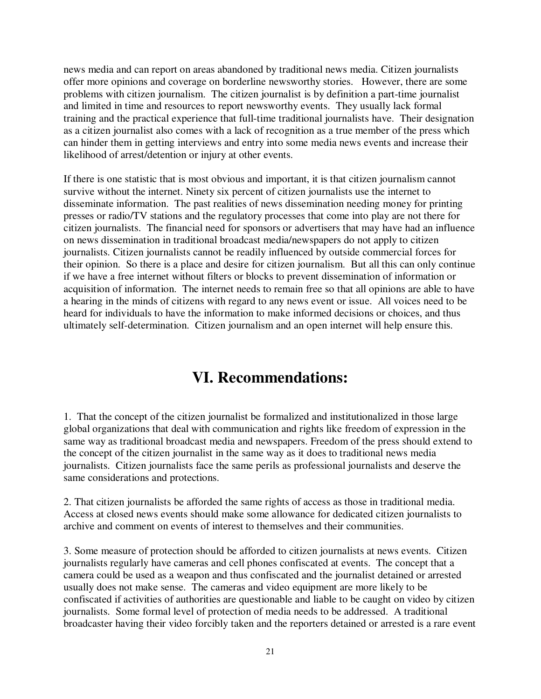news media and can report on areas abandoned by traditional news media. Citizen journalists offer more opinions and coverage on borderline newsworthy stories. However, there are some problems with citizen journalism. The citizen journalist is by definition a part-time journalist and limited in time and resources to report newsworthy events. They usually lack formal training and the practical experience that full-time traditional journalists have. Their designation as a citizen journalist also comes with a lack of recognition as a true member of the press which can hinder them in getting interviews and entry into some media news events and increase their likelihood of arrest/detention or injury at other events.

If there is one statistic that is most obvious and important, it is that citizen journalism cannot survive without the internet. Ninety six percent of citizen journalists use the internet to disseminate information. The past realities of news dissemination needing money for printing presses or radio/TV stations and the regulatory processes that come into play are not there for citizen journalists. The financial need for sponsors or advertisers that may have had an influence on news dissemination in traditional broadcast media/newspapers do not apply to citizen journalists. Citizen journalists cannot be readily influenced by outside commercial forces for their opinion. So there is a place and desire for citizen journalism. But all this can only continue if we have a free internet without filters or blocks to prevent dissemination of information or acquisition of information. The internet needs to remain free so that all opinions are able to have a hearing in the minds of citizens with regard to any news event or issue. All voices need to be heard for individuals to have the information to make informed decisions or choices, and thus ultimately self-determination. Citizen journalism and an open internet will help ensure this.

# **VI. Recommendations:**

1. That the concept of the citizen journalist be formalized and institutionalized in those large global organizations that deal with communication and rights like freedom of expression in the same way as traditional broadcast media and newspapers. Freedom of the press should extend to the concept of the citizen journalist in the same way as it does to traditional news media journalists. Citizen journalists face the same perils as professional journalists and deserve the same considerations and protections.

2. That citizen journalists be afforded the same rights of access as those in traditional media. Access at closed news events should make some allowance for dedicated citizen journalists to archive and comment on events of interest to themselves and their communities.

3. Some measure of protection should be afforded to citizen journalists at news events. Citizen journalists regularly have cameras and cell phones confiscated at events. The concept that a camera could be used as a weapon and thus confiscated and the journalist detained or arrested usually does not make sense. The cameras and video equipment are more likely to be confiscated if activities of authorities are questionable and liable to be caught on video by citizen journalists. Some formal level of protection of media needs to be addressed. A traditional broadcaster having their video forcibly taken and the reporters detained or arrested is a rare event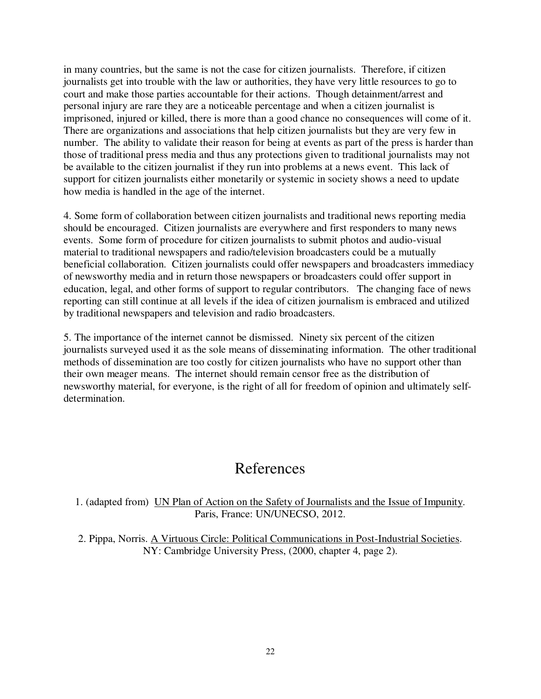in many countries, but the same is not the case for citizen journalists. Therefore, if citizen journalists get into trouble with the law or authorities, they have very little resources to go to court and make those parties accountable for their actions. Though detainment/arrest and personal injury are rare they are a noticeable percentage and when a citizen journalist is imprisoned, injured or killed, there is more than a good chance no consequences will come of it. There are organizations and associations that help citizen journalists but they are very few in number. The ability to validate their reason for being at events as part of the press is harder than those of traditional press media and thus any protections given to traditional journalists may not be available to the citizen journalist if they run into problems at a news event. This lack of support for citizen journalists either monetarily or systemic in society shows a need to update how media is handled in the age of the internet.

4. Some form of collaboration between citizen journalists and traditional news reporting media should be encouraged. Citizen journalists are everywhere and first responders to many news events. Some form of procedure for citizen journalists to submit photos and audio-visual material to traditional newspapers and radio/television broadcasters could be a mutually beneficial collaboration. Citizen journalists could offer newspapers and broadcasters immediacy of newsworthy media and in return those newspapers or broadcasters could offer support in education, legal, and other forms of support to regular contributors. The changing face of news reporting can still continue at all levels if the idea of citizen journalism is embraced and utilized by traditional newspapers and television and radio broadcasters.

5. The importance of the internet cannot be dismissed. Ninety six percent of the citizen journalists surveyed used it as the sole means of disseminating information. The other traditional methods of dissemination are too costly for citizen journalists who have no support other than their own meager means. The internet should remain censor free as the distribution of newsworthy material, for everyone, is the right of all for freedom of opinion and ultimately selfdetermination.

# References

1. (adapted from) UN Plan of Action on the Safety of Journalists and the Issue of Impunity. Paris, France: UN/UNECSO, 2012.

2. Pippa, Norris. A Virtuous Circle: Political Communications in Post-Industrial Societies. NY: Cambridge University Press, (2000, chapter 4, page 2).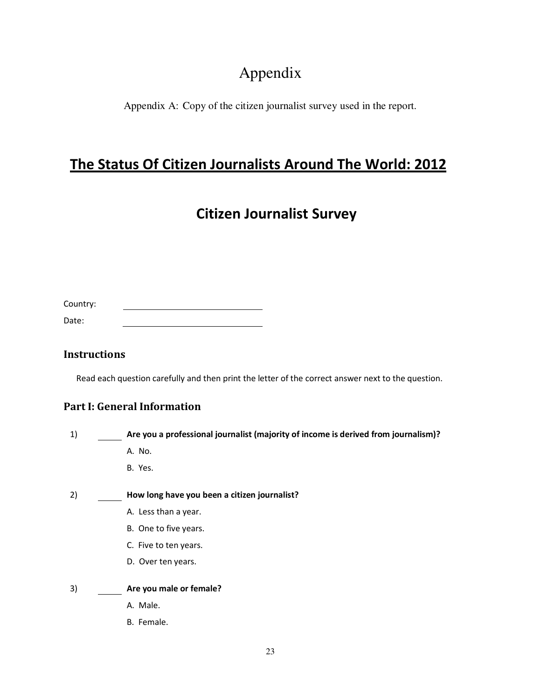# Appendix

Appendix A: Copy of the citizen journalist survey used in the report.

# **The Status Of Citizen Journalists Around The World: 2012**

# **Citizen Journalist Survey**

| Country: |  |  |
|----------|--|--|
|          |  |  |
|          |  |  |

| Date: |  |  |
|-------|--|--|
|       |  |  |

## **Instructions**

Read each question carefully and then print the letter of the correct answer next to the question.

## **Part I: General Information**

- 1) **Are you a professional journalist (majority of income is derived from journalism)?** 
	- A. No.
	- B. Yes.

### 2) **How long have you been a citizen journalist?**

- A. Less than a year.
- B. One to five years.
- C. Five to ten years.
- D. Over ten years.

### 3) **Are you male or female?**

- A. Male.
- B. Female.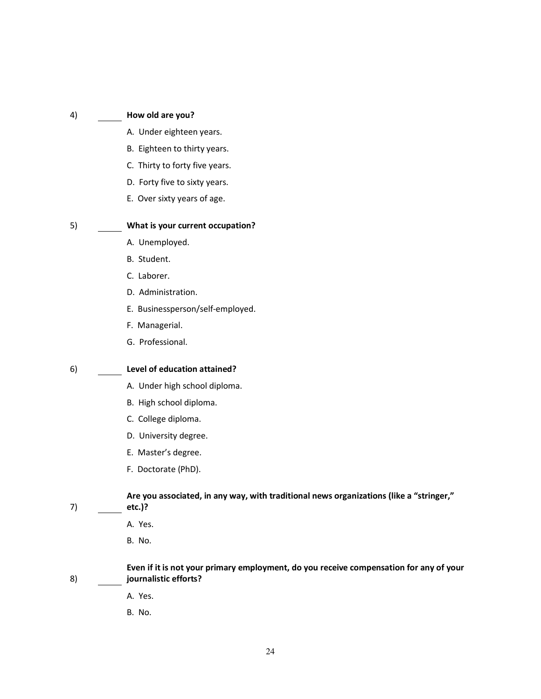#### 4) **How old are you?**

- A. Under eighteen years.
- B. Eighteen to thirty years.
- C. Thirty to forty five years.
- D. Forty five to sixty years.
- E. Over sixty years of age.

#### 5) **What is your current occupation?**

- A. Unemployed.
- B. Student.
- C. Laborer.
- D. Administration.
- E. Businessperson/self-employed.
- F. Managerial.
- G. Professional.

#### 6) **Level of education attained?**

- A. Under high school diploma.
- B. High school diploma.
- C. College diploma.
- D. University degree.
- E. Master's degree.
- F. Doctorate (PhD).

**Are you associated, in any way, with traditional news organizations (like a "stringer," etc.)?** 

7)

- A. Yes.
- B. No.

8) **Even if it is not your primary employment, do you receive compensation for any of your journalistic efforts?** 

- A. Yes.
- B. No.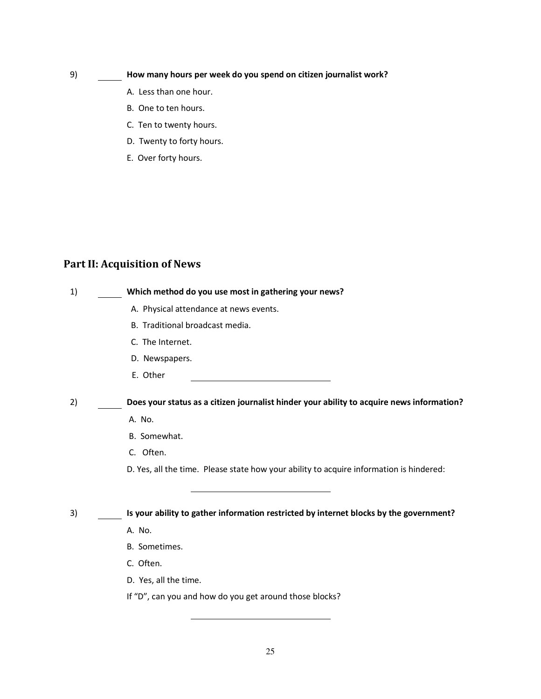### 9) **How many hours per week do you spend on citizen journalist work?**

- A. Less than one hour.
- B. One to ten hours.
- C. Ten to twenty hours.
- D. Twenty to forty hours.
- E. Over forty hours.

## **Part II: Acquisition of News**

| 1) | Which method do you use most in gathering your news?                                      |
|----|-------------------------------------------------------------------------------------------|
|    | A. Physical attendance at news events.                                                    |
|    | B. Traditional broadcast media.                                                           |
|    | C. The Internet.                                                                          |
|    | D. Newspapers.                                                                            |
|    | E. Other                                                                                  |
| 2) | Does your status as a citizen journalist hinder your ability to acquire news information? |
|    | A. No.                                                                                    |
|    | B. Somewhat.                                                                              |
|    | C. Often.                                                                                 |
|    | D. Yes, all the time. Please state how your ability to acquire information is hindered:   |
|    |                                                                                           |
| 3) | Is your ability to gather information restricted by internet blocks by the government?    |
|    | A. No.                                                                                    |
|    | B. Sometimes.                                                                             |
|    | C. Often.                                                                                 |
|    | D. Yes, all the time.                                                                     |
|    | If "D", can you and how do you get around those blocks?                                   |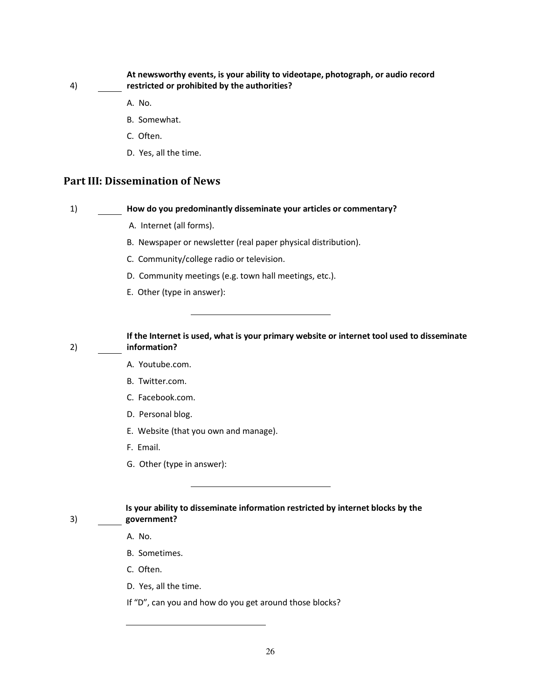#### **At newsworthy events, is your ability to videotape, photograph, or audio record restricted or prohibited by the authorities?**

A. No.

4)

2)

3)

- B. Somewhat.
- C. Often.
- D. Yes, all the time.

### **Part III: Dissemination of News**

#### 1) **How do you predominantly disseminate your articles or commentary?**

- A. Internet (all forms).
- B. Newspaper or newsletter (real paper physical distribution).
- C. Community/college radio or television.
- D. Community meetings (e.g. town hall meetings, etc.).
- E. Other (type in answer):

**If the Internet is used, what is your primary website or internet tool used to disseminate information?** 

- A. Youtube.com.
- B. Twitter.com.
- C. Facebook.com.
- D. Personal blog.
- E. Website (that you own and manage).
- F. Email.
- G. Other (type in answer):

#### **Is your ability to disseminate information restricted by internet blocks by the government?**

A. No.

- B. Sometimes.
- C. Often.
- D. Yes, all the time.
- If "D", can you and how do you get around those blocks?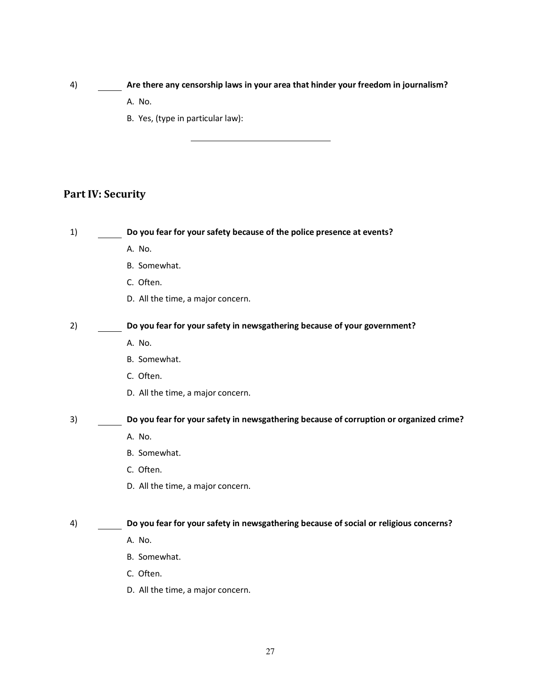#### 4) **Are there any censorship laws in your area that hinder your freedom in journalism?**

- A. No.
- B. Yes, (type in particular law):

### **Part IV: Security**

1) **Do you fear for your safety because of the police presence at events?** 

- A. No.
- B. Somewhat.
- C. Often.
- D. All the time, a major concern.

2) **Do you fear for your safety in newsgathering because of your government?** 

- A. No.
- B. Somewhat.
- C. Often.
- D. All the time, a major concern.

3) **Do you fear for your safety in newsgathering because of corruption or organized crime?** 

- A. No.
- B. Somewhat.
- C. Often.
- D. All the time, a major concern.

#### 4) **Do you fear for your safety in newsgathering because of social or religious concerns?**

- A. No.
- B. Somewhat.
- C. Often.
- D. All the time, a major concern.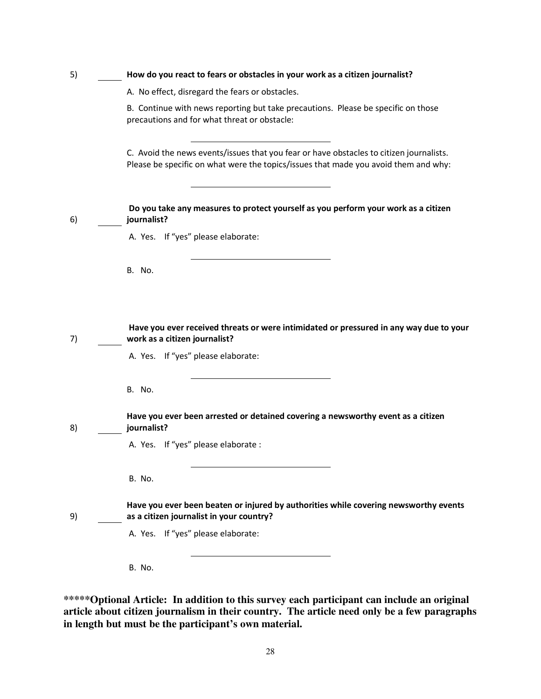| 5) | How do you react to fears or obstacles in your work as a citizen journalist?                                                                                                   |
|----|--------------------------------------------------------------------------------------------------------------------------------------------------------------------------------|
|    | A. No effect, disregard the fears or obstacles.                                                                                                                                |
|    | B. Continue with news reporting but take precautions. Please be specific on those<br>precautions and for what threat or obstacle:                                              |
|    | C. Avoid the news events/issues that you fear or have obstacles to citizen journalists.<br>Please be specific on what were the topics/issues that made you avoid them and why: |
| 6) | Do you take any measures to protect yourself as you perform your work as a citizen<br>journalist?                                                                              |
|    | A. Yes. If "yes" please elaborate:                                                                                                                                             |
|    | <b>B.</b> No.                                                                                                                                                                  |
| 7) | Have you ever received threats or were intimidated or pressured in any way due to your<br>work as a citizen journalist?<br>A. Yes. If "yes" please elaborate:                  |
|    | B. No.                                                                                                                                                                         |
| 8) | Have you ever been arrested or detained covering a newsworthy event as a citizen<br>journalist?                                                                                |
|    | A. Yes. If "yes" please elaborate :                                                                                                                                            |
|    | B. No.                                                                                                                                                                         |
| 9) | Have you ever been beaten or injured by authorities while covering newsworthy events<br>as a citizen journalist in your country?                                               |
|    | A. Yes. If "yes" please elaborate:                                                                                                                                             |
|    | B. No.                                                                                                                                                                         |

**\*\*\*\*\*Optional Article: In addition to this survey each participant can include an original article about citizen journalism in their country. The article need only be a few paragraphs in length but must be the participant's own material.**